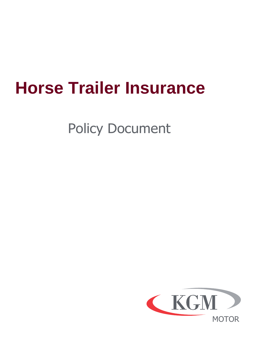# **Horse Trailer Insurance**

Policy Document

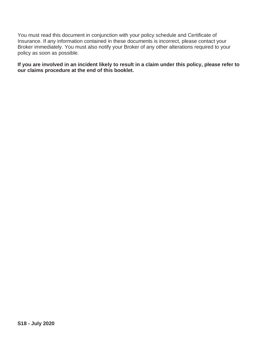You must read this document in conjunction with your policy schedule and Certificate of Insurance. If any information contained in these documents is incorrect, please contact your Broker immediately. You must also notify your Broker of any other alterations required to your policy as soon as possible.

**If you are involved in an incident likely to result in a claim under this policy, please refer to our claims procedure at the end of this booklet.**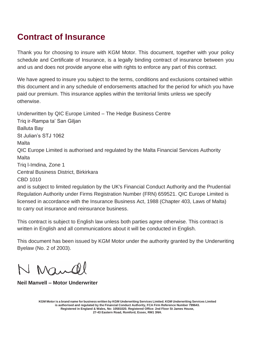### **Contract of Insurance**

Thank you for choosing to insure with KGM Motor. This document, together with your policy schedule and Certificate of Insurance, is a legally binding contract of insurance between you and us and does not provide anyone else with rights to enforce any part of this contract.

We have agreed to insure you subject to the terms, conditions and exclusions contained within this document and in any schedule of endorsements attached for the period for which you have paid our premium. This insurance applies within the territorial limits unless we specify otherwise.

Underwritten by QIC Europe Limited – The Hedge Business Centre Triq ir-Rampa ta' San Giljan Balluta Bay St Julian's STJ 1062 Malta QIC Europe Limited is authorised and regulated by the Malta Financial Services Authority Malta Triq l-Imdina, Zone 1 Central Business District, Birkirkara CBD 1010 and is subject to limited regulation by the UK's Financial Conduct Authority and the Prudential Regulation Authority under Firms Registration Number (FRN) 659521. QIC Europe Limited is licensed in accordance with the Insurance Business Act, 1988 (Chapter 403, Laws of Malta)

to carry out insurance and reinsurance business.

This contract is subject to English law unless both parties agree otherwise. This contract is written in English and all communications about it will be conducted in English.

This document has been issued by KGM Motor under the authority granted by the Underwriting Byelaw (No. 2 of 2003).

N Mandel

**Neil Manvell – Motor Underwriter**

KGM Motor is a brand name for business written by KGM Underwriting Services Limited. KGM Underwriting Services Limited **is authorised and regulated by the Financial Conduct Authority, FCA Firm Reference Number 799643. Registered in England & Wales, No: 10581020. Registered Office: 2nd Floor St James House, 27-43 Eastern Road, Romford, Essex, RM1 3NH.**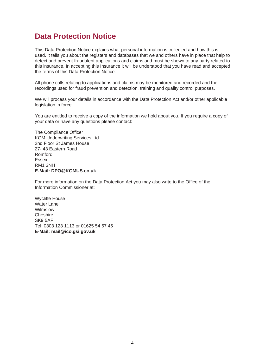### **Data Protection Notice**

This Data Protection Notice explains what personal information is collected and how this is used. It tells you about the registers and databases that we and others have in place that help to detect and prevent fraudulent applications and claims,and must be shown to any party related to this insurance. In accepting this Insurance it will be understood that you have read and accepted the terms of this Data Protection Notice.

All phone calls relating to applications and claims may be monitored and recorded and the recordings used for fraud prevention and detection, training and quality control purposes.

We will process your details in accordance with the Data Protection Act and/or other applicable legislation in force.

You are entitled to receive a copy of the information we hold about you. If you require a copy of your data or have any questions please contact:

The Compliance Officer KGM Underwriting Services Ltd 2nd Floor St James House 27- 43 Eastern Road Romford Essex RM1 3NH **E-Mail[: DPO@KGMUS.co.uk](mailto:DPO@KGMUS.co.uk)**

For more information on the Data Protection Act you may also write to the Office of the Information Commissioner at:

Wycliffe House Water Lane Wilmslow Cheshire SK9 5AF Tel: 0303 123 1113 or 01625 54 57 45 **E-Mail[: mail@ico.gsi.gov.uk](mailto:mail@ico.gsi.gov.uk)**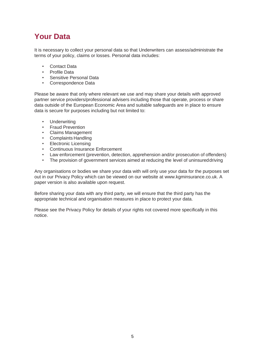# **Your Data**

It is necessary to collect your personal data so that Underwriters can assess/administrate the terms of your policy, claims or losses. Personal data includes:

- Contact Data
- Profile Data
- Sensitive Personal Data
- Correspondence Data

Please be aware that only where relevant we use and may share your details with approved partner service providers/professional advisers including those that operate, process or share data outside of the European Economic Area and suitable safeguards are in place to ensure data is secure for purposes including but not limited to:

- Underwriting
- Fraud Prevention
- Claims Management
- Complaints Handling
- Electronic Licensing
- Continuous Insurance Enforcement
- Law enforcement (prevention, detection, apprehension and/or prosecution of offenders)
- The provision of government services aimed at reducing the level of uninsureddriving

Any organisations or bodies we share your data with will only use your data for the purposes set out in our Privacy Policy which can be viewed on our website at [www.kgminsurance.co.uk. A](http://www.kgminsurance.co.uk/) paper version is also available upon request.

Before sharing your data with any third party, we will ensure that the third party has the appropriate technical and organisation measures in place to protect your data.

Please see the Privacy Policy for details of your rights not covered more specifically in this notice.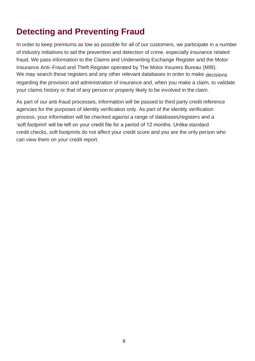# **Detecting and Preventing Fraud**

In order to keep premiums as low as possible for all of our customers, we participate in a number of industry initiatives to aid the prevention and detection of crime, especially insurance related fraud. We pass information to the Claims and Underwriting Exchange Register and the Motor Insurance Anti–Fraud and Theft Register operated by The Motor Insurers Bureau (MIB). We may search these registers and any other relevant databases in order to make decisions regarding the provision and administration of insurance and, when you make a claim, to validate your claims history or that of any person or property likely to be involved in the claim.

As part of our anti-fraud processes, information will be passed to third party credit reference agencies for the purposes of identity verification only. As part of the identity verification process, your information will be checked against a range of databases/registers and a 'soft footprint' will be left on your credit file for a period of 12 months. Unlike standard credit checks, soft footprints do not affect your credit score and you are the only person who can view them on your credit report.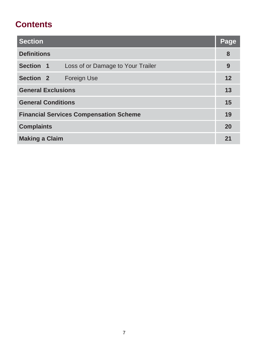# **Contents**

| <b>Section</b>                                 | <u> Page</u> |  |
|------------------------------------------------|--------------|--|
| <b>Definitions</b>                             | 8            |  |
| Section 1<br>Loss of or Damage to Your Trailer | 9            |  |
| Section <sub>2</sub><br>Foreign Use            | 12           |  |
| <b>General Exclusions</b>                      |              |  |
| <b>General Conditions</b>                      |              |  |
| <b>Financial Services Compensation Scheme</b>  |              |  |
| <b>Complaints</b>                              |              |  |
| <b>Making a Claim</b>                          |              |  |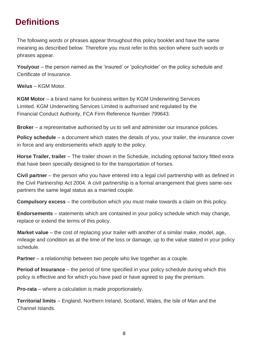# **Definitions**

The following words or phrases appear throughout this policy booklet and have the same meaning as described below. Therefore you must refer to this section where such words or phrases appear.

**You/your** – the person named as the 'insured' or 'policyholder' on the policy schedule and Certificate of Insurance.

**We/us** – KGM Motor.

**KGM Motor** – a brand name for business written by KGM Underwriting Services Limited. KGM Underwriting Services Limited is authorised and regulated by the Financial Conduct Authority, FCA Firm Reference Number 799643.

**Broker** – a representative authorised by us to sell and administer our insurance policies.

**Policy schedule** – a document which states the details of you, your trailer, the insurance cover in force and any endorsements which apply to the policy.

**Horse Trailer, trailer** – The trailer shown in the Schedule, including optional factory fitted extra that have been specially designed to for the transportation of horses.

**Civil partner** – the person who you have entered into a legal civil partnership with as defined in the Civil Partnership Act 2004. A civil partnership is a formal arrangement that gives same-sex partners the same legal status as a married couple.

**Compulsory excess** – the contribution which you must make towards a claim on this policy.

**Endorsements** – statements which are contained in your policy schedule which may change, replace or extend the terms of this policy.

**Market value** – the cost of replacing your trailer with another of a similar make, model, age, mileage and condition as at the time of the loss or damage, up to the value stated in your policy schedule.

**Partner** – a relationship between two people who live together as a couple.

**Period of Insurance** – the period of time specified in your policy schedule during which this policy is effective and for which you have paid or have agreed to pay the premium.

**Pro-rata** – where a calculation is made proportionately.

**Territorial limits** – England, Northern Ireland, Scotland, Wales, the Isle of Man and the Channel Islands.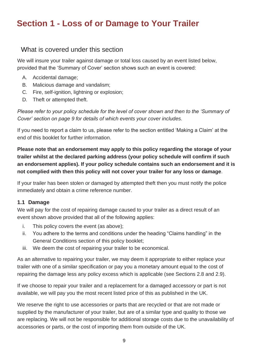# **Section 1 - Loss of or Damage to Your Trailer**

#### What is covered under this section

We will insure your trailer against damage or total loss caused by an event listed below, provided that the 'Summary of Cover' section shows such an event is covered:

- A. Accidental damage;
- B. Malicious damage and vandalism;
- C. Fire, self-ignition, lightning or explosion;
- D. Theft or attempted theft.

*Please refer to your policy schedule for the level of cover shown and then to the 'Summary of Cover' section on page 9 for details of which events your cover includes.*

If you need to report a claim to us, please refer to the section entitled 'Making a Claim' at the end of this booklet for further information.

**Please note that an endorsement may apply to this policy regarding the storage of your trailer whilst at the declared parking address (your policy schedule will confirm if such an endorsement applies). If your policy schedule contains such an endorsement and it is not complied with then this policy will not cover your trailer for any loss or damage**.

If your trailer has been stolen or damaged by attempted theft then you must notify the police immediately and obtain a crime reference number.

#### **1.1 Damage**

We will pay for the cost of repairing damage caused to your trailer as a direct result of an event shown above provided that all of the following applies:

- i. This policy covers the event (as above);
- ii. You adhere to the terms and conditions under the heading "Claims handling" in the General Conditions section of this policy booklet;
- iii. We deem the cost of repairing your trailer to be economical.

As an alternative to repairing your trailer, we may deem it appropriate to either replace your trailer with one of a similar specification or pay you a monetary amount equal to the cost of repairing the damage less any policy excess which is applicable (see Sections 2.8 and 2.9).

If we choose to repair your trailer and a replacement for a damaged accessory or part is not available, we will pay you the most recent listed price of this as published in the UK.

We reserve the right to use accessories or parts that are recycled or that are not made or supplied by the manufacturer of your trailer, but are of a similar type and quality to those we are replacing. We will not be responsible for additional storage costs due to the unavailability of accessories or parts, or the cost of importing them from outside of the UK.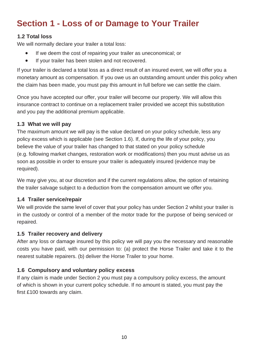# **Section 1 - Loss of or Damage to Your Trailer**

#### **1.2 Total loss**

We will normally declare your trailer a total loss:

- If we deem the cost of repairing your trailer as uneconomical; or
- If your trailer has been stolen and not recovered.

If your trailer is declared a total loss as a direct result of an insured event, we will offer you a monetary amount as compensation. If you owe us an outstanding amount under this policy when the claim has been made, you must pay this amount in full before we can settle the claim.

Once you have accepted our offer, your trailer will become our property. We will allow this insurance contract to continue on a replacement trailer provided we accept this substitution and you pay the additional premium applicable.

#### **1.3 What we will pay**

The maximum amount we will pay is the value declared on your policy schedule, less any policy excess which is applicable (see Section 1.6). If, during the life of your policy, you believe the value of your trailer has changed to that stated on your policy schedule (e.g. following market changes, restoration work or modifications) then you must advise us as soon as possible in order to ensure your trailer is adequately insured (evidence may be required).

We may give you, at our discretion and if the current regulations allow, the option of retaining the trailer salvage subject to a deduction from the compensation amount we offer you.

#### **1.4 Trailer service/repair**

We will provide the same level of cover that your policy has under Section 2 whilst your trailer is in the custody or control of a member of the motor trade for the purpose of being serviced or repaired.

#### **1.5 Trailer recovery and delivery**

After any loss or damage insured by this policy we will pay you the necessary and reasonable costs you have paid, with our permission to: (a) protect the Horse Trailer and take it to the nearest suitable repairers. (b) deliver the Horse Trailer to your home.

#### **1.6 Compulsory and voluntary policy excess**

If any claim is made under Section 2 you must pay a compulsory policy excess, the amount of which is shown in your current policy schedule. If no amount is stated, you must pay the first £100 towards any claim.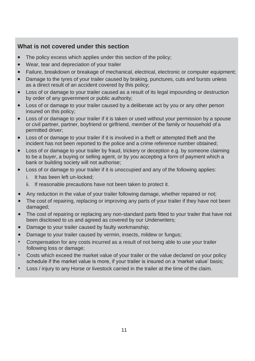#### **What is not covered under this section**

- The policy excess which applies under this section of the policy;
- Wear, tear and depreciation of your trailer
- Failure, breakdown or breakage of mechanical, electrical, electronic or computer equipment;
- Damage to the tyres of your trailer caused by braking, punctures, cuts and bursts unless as a direct result of an accident covered by this policy;
- Loss of or damage to your trailer caused as a result of its legal impounding or destruction by order of any government or public authority;
- Loss of or damage to your trailer caused by a deliberate act by you or any other person insured on this policy;
- Loss of or damage to your trailer if it is taken or used without your permission by a spouse or civil partner, partner, boyfriend or girlfriend, member of the family or household of a permitted driver;
- Loss of or damage to your trailer if it is involved in a theft or attempted theft and the incident has not been reported to the police and a crime reference number obtained;
- Loss of or damage to your trailer by fraud, trickery or deception e.g. by someone claiming to be a buyer, a buying or selling agent, or by you accepting a form of payment which a bank or building society will not authorise;
- Loss of or damage to your trailer if it is unoccupied and any of the following applies:
	- i. It has been left un-locked;
	- ii. If reasonable precautions have not been taken to protect it.
- Any reduction in the value of your trailer following damage, whether repaired or not;
- The cost of repairing, replacing or improving any parts of your trailer if they have not been damaged;
- The cost of repairing or replacing any non-standard parts fitted to your trailer that have not been disclosed to us and agreed as covered by our Underwriters;
- Damage to your trailer caused by faulty workmanship;
- Damage to your trailer caused by vermin, insects, mildew or fungus;
- Compensation for any costs incurred as a result of not being able to use your trailer following loss or damage;
- Costs which exceed the market value of your trailer or the value declared on your policy schedule if the market value is more, if your trailer is insured on a 'market value' basis;
- Loss / injury to any Horse or livestock carried in the trailer at the time of the claim.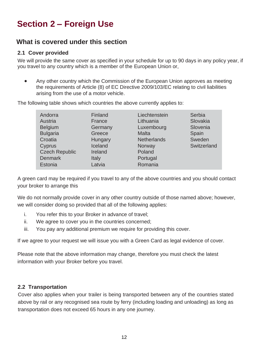# **Section 2 – Foreign Use**

#### **What is covered under this section**

#### **2.1 Cover provided**

We will provide the same cover as specified in your schedule for up to 90 days in any policy year, if you travel to any country which is a member of the European Union or,

• Any other country which the Commission of the European Union approves as meeting the requirements of Article (8) of EC Directive 2009/103/EC relating to civil liabilities arising from the use of a motor vehicle.

The following table shows which countries the above currently applies to:

| Andorra<br>Austria<br><b>Belgium</b><br><b>Bulgaria</b><br>Croatia<br>Cyprus<br><b>Czech Republic</b><br><b>Denmark</b> | Finland<br>France<br>Germany<br>Greece<br>Hungary<br>Iceland<br>Ireland<br>Italy | Liechtenstein<br>Lithuania<br>Luxembourg<br>Malta<br><b>Netherlands</b><br>Norway<br>Poland<br>Portugal | Serbia<br>Slovakia<br>Slovenia<br>Spain<br>Sweden<br>Switzerland |
|-------------------------------------------------------------------------------------------------------------------------|----------------------------------------------------------------------------------|---------------------------------------------------------------------------------------------------------|------------------------------------------------------------------|
|                                                                                                                         |                                                                                  |                                                                                                         |                                                                  |
| Estonia                                                                                                                 | Latvia                                                                           | Romania                                                                                                 |                                                                  |

A green card may be required if you travel to any of the above countries and you should contact your broker to arrange this

We do not normally provide cover in any other country outside of those named above; however, we will consider doing so provided that all of the following applies:

- i. You refer this to your Broker in advance of travel;
- ii. We agree to cover you in the countries concerned;
- iii. You pay any additional premium we require for providing this cover.

If we agree to your request we will issue you with a Green Card as legal evidence of cover.

Please note that the above information may change, therefore you must check the latest information with your Broker before you travel.

#### **2.2 Transportation**

Cover also applies when your trailer is being transported between any of the countries stated above by rail or any recognised sea route by ferry (including loading and unloading) as long as transportation does not exceed 65 hours in any one journey.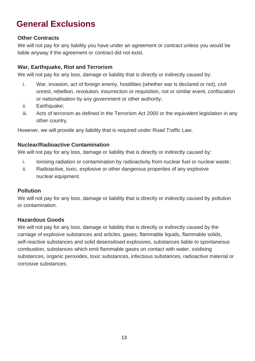# **General Exclusions**

#### **Other Contracts**

We will not pay for any liability you have under an agreement or contract unless you would be liable anyway if the agreement or contract did not exist.

#### **War, Earthquake, Riot and Terrorism**

We will not pay for any loss, damage or liability that is directly or indirectly caused by:

- i. War, invasion, act of foreign enemy, hostilities (whether war is declared or not), civil unrest, rebellion, revolution, insurrection or requisition, riot or similar event, confiscation or nationalisation by any government or other authority;
- ii. Earthquake;
- iii. Acts of terrorism as defined in the Terrorism Act 2000 or the equivalent legislation in any other country.

However, we will provide any liability that is required under Road Traffic Law.

#### **Nuclear/Radioactive Contamination**

We will not pay for any loss, damage or liability that is directly or indirectly caused by:

- i. Ionising radiation or contamination by radioactivity from nuclear fuel or nuclear waste;
- ii. Radioactive, toxic, explosive or other dangerous properties of any explosive nuclear equipment.

#### **Pollution**

We will not pay for any loss, damage or liability that is directly or indirectly caused by pollution or contamination.

#### **Hazardous Goods**

We will not pay for any loss, damage or liability that is directly or indirectly caused by the carriage of explosive substances and articles, gases, flammable liquids, flammable solids, self-reactive substances and solid desensitised explosives, substances liable to spontaneous combustion, substances which emit flammable gases on contact with water, oxidising substances, organic peroxides, toxic substances, infectious substances, radioactive material or corrosive substances.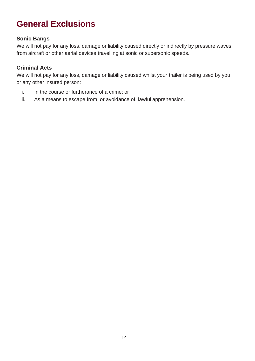# **General Exclusions**

#### **Sonic Bangs**

We will not pay for any loss, damage or liability caused directly or indirectly by pressure waves from aircraft or other aerial devices travelling at sonic or supersonic speeds.

#### **Criminal Acts**

We will not pay for any loss, damage or liability caused whilst your trailer is being used by you or any other insured person:

- i. In the course or furtherance of a crime; or
- ii. As a means to escape from, or avoidance of, lawful apprehension.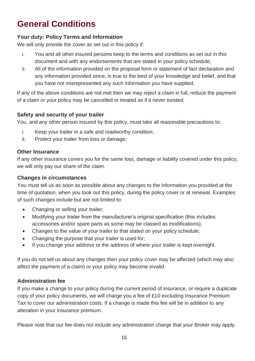#### **Your duty: Policy Terms and Information**

We will only provide the cover as set out in this policy if:

- i. You and all other insured persons keep to the terms and conditions as set out in this document and with any endorsements that are stated in your policy schedule;
- ii. All of the information provided on the proposal form or statement of fact declaration and any information provided since, is true to the best of your knowledge and belief, and that you have not misrepresented any such information you have supplied.

If any of the above conditions are not met then we may reject a claim in full, reduce the payment of a claim or your policy may be cancelled or treated as if it never existed.

#### **Safety and security of your trailer**

You, and any other person insured by this policy, must take all reasonable precautions to:

- i. Keep your trailer in a safe and roadworthy condition;
- ii. Protect your trailer from loss or damage;

#### **Other Insurance**

If any other insurance covers you for the same loss, damage or liability covered under this policy, we will only pay our share of the claim.

#### **Changes in circumstances**

You must tell us as soon as possible about any changes to the information you provided at the time of quotation, when you took out this policy, during the policy cover or at renewal. Examples of such changes include but are not limited to:

- Changing or selling your trailer;
- Modifying your trailer from the manufacturer's original specification (this includes accessories and/or spare parts as some may be classed as modifications);
- Changes to the value of your trailer to that stated on your policy schedule;
- Changing the purpose that your trailer is used for;
- If you change your address or the address of where your trailer is kept overnight.

If you do not tell us about any changes then your policy cover may be affected (which may also affect the payment of a claim) or your policy may become invalid.

#### **Administration fee**

If you make a change to your policy during the current period of insurance, or require a duplicate copy of your policy documents, we will charge you a fee of £10 excluding Insurance Premium Tax to cover our administration costs. If a change is made this fee will be in addition to any alteration in your insurance premium.

Please note that our fee does not include any administration charge that your Broker may apply.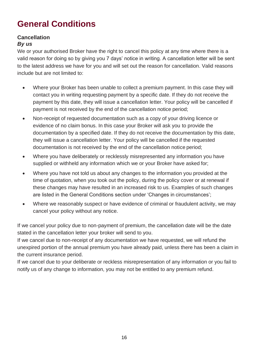#### **Cancellation**

#### *By us*

We or vour authorised Broker have the right to cancel this policy at any time where there is a valid reason for doing so by giving you 7 days' notice in writing. A cancellation letter will be sent to the latest address we have for you and will set out the reason for cancellation. Valid reasons include but are not limited to:

- Where your Broker has been unable to collect a premium payment. In this case they will contact you in writing requesting payment by a specific date. If they do not receive the payment by this date, they will issue a cancellation letter. Your policy will be cancelled if payment is not received by the end of the cancellation notice period;
- Non-receipt of requested documentation such as a copy of your driving licence or evidence of no claim bonus. In this case your Broker will ask you to provide the documentation by a specified date. If they do not receive the documentation by this date, they will issue a cancellation letter. Your policy will be cancelled if the requested documentation is not received by the end of the cancellation notice period;
- Where you have deliberately or recklessly misrepresented any information you have supplied or withheld any information which we or your Broker have asked for;
- Where you have not told us about any changes to the information you provided at the time of quotation, when you took out the policy, during the policy cover or at renewal if these changes may have resulted in an increased risk to us. Examples of such changes are listed in the General Conditions section under 'Changes in circumstances';
- Where we reasonably suspect or have evidence of criminal or fraudulent activity, we may cancel your policy without any notice.

If we cancel your policy due to non-payment of premium, the cancellation date will be the date stated in the cancellation letter your broker will send to you.

If we cancel due to non-receipt of any documentation we have requested, we will refund the unexpired portion of the annual premium you have already paid, unless there has been a claim in the current insurance period.

If we cancel due to your deliberate or reckless misrepresentation of any information or you fail to notify us of any change to information, you may not be entitled to any premium refund.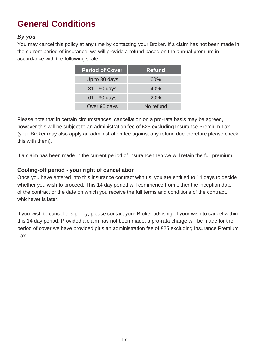#### *By you*

You may cancel this policy at any time by contacting your Broker. If a claim has not been made in the current period of insurance, we will provide a refund based on the annual premium in accordance with the following scale:

| <b>Period of Cover</b> | <b>Refund</b> |
|------------------------|---------------|
| Up to 30 days          | 60%           |
| $31 - 60$ days         | 40%           |
| 61 - 90 days           | 20%           |
| Over 90 days           | No refund     |

Please note that in certain circumstances, cancellation on a pro-rata basis may be agreed, however this will be subject to an administration fee of £25 excluding Insurance Premium Tax (your Broker may also apply an administration fee against any refund due therefore please check this with them).

If a claim has been made in the current period of insurance then we will retain the full premium.

#### **Cooling-off period - your right of cancellation**

Once you have entered into this insurance contract with us, you are entitled to 14 days to decide whether you wish to proceed. This 14 day period will commence from either the inception date of the contract or the date on which you receive the full terms and conditions of the contract, whichever is later.

If you wish to cancel this policy, please contact your Broker advising of your wish to cancel within this 14 day period. Provided a claim has not been made, a pro-rata charge will be made for the period of cover we have provided plus an administration fee of £25 excluding Insurance Premium Tax.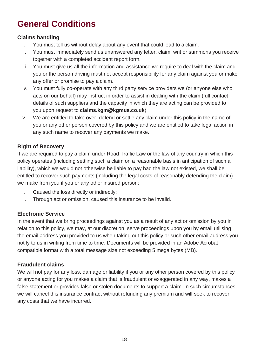#### **Claims handling**

- i. You must tell us without delay about any event that could lead to a claim.
- ii. You must immediately send us unanswered any letter, claim, writ or summons you receive together with a completed accident report form.
- iii. You must give us all the information and assistance we require to deal with the claim and you or the person driving must not accept responsibility for any claim against you or make any offer or promise to pay a claim.
- iv. You must fully co-operate with any third party service providers we (or anyone else who acts on our behalf) may instruct in order to assist in dealing with the claim (full contact details of such suppliers and the capacity in which they are acting can be provided to you upon request to **claims.kgm@kgmus.co.uk**).
- v. We are entitled to take over, defend or settle any claim under this policy in the name of you or any other person covered by this policy and we are entitled to take legal action in any such name to recover any payments we make.

#### **Right of Recovery**

If we are required to pay a claim under Road Traffic Law or the law of any country in which this policy operates (including settling such a claim on a reasonable basis in anticipation of such a liability), which we would not otherwise be liable to pay had the law not existed, we shall be entitled to recover such payments (including the legal costs of reasonably defending the claim) we make from you if you or any other insured person:

- i. Caused the loss directly or indirectly;
- ii. Through act or omission, caused this insurance to be invalid.

#### **Electronic Service**

In the event that we bring proceedings against you as a result of any act or omission by you in relation to this policy, we may, at our discretion, serve proceedings upon you by email utilising the email address you provided to us when taking out this policy or such other email address you notify to us in writing from time to time. Documents will be provided in an Adobe Acrobat compatible format with a total message size not exceeding 5 mega bytes (MB).

#### **Fraudulent claims**

We will not pay for any loss, damage or liability if you or any other person covered by this policy or anyone acting for you makes a claim that is fraudulent or exaggerated in any way, makes a false statement or provides false or stolen documents to support a claim. In such circumstances we will cancel this insurance contract without refunding any premium and will seek to recover any costs that we have incurred.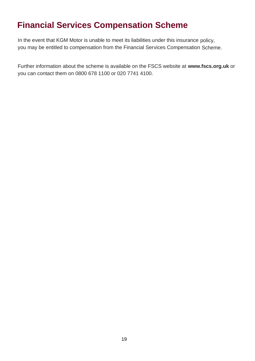### **Financial Services Compensation Scheme**

In the event that KGM Motor is unable to meet its liabilities under this insurance policy, you may be entitled to compensation from the Financial Services Compensation Scheme.

Further information about the scheme is available on the FSCS website at **[www.fscs.org.uk](http://www.fscs.org.uk/)** or you can contact them on 0800 678 1100 or 020 7741 4100.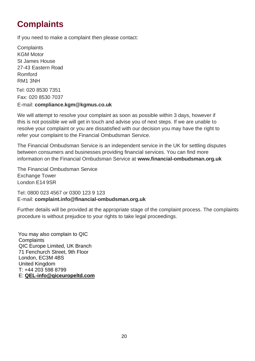# **Complaints**

If you need to make a complaint then please contact:

**Complaints** KGM Motor St James House 27-43 Eastern Road Romford RM1 3NH

Tel: 020 8530 7351 Fax: 020 8530 7037

#### E-mail: **[compliance.kgm@kgmus.co.uk](mailto:compliance.kgm@kgmus.co.uk)**

We will attempt to resolve your complaint as soon as possible within 3 days, however if this is not possible we will get in touch and advise you of next steps. If we are unable to resolve your complaint or you are dissatisfied with our decision you may have the right to refer your complaint to the Financial Ombudsman Service.

The Financial Ombudsman Service is an independent service in the UK for settling disputes between consumers and businesses providing financial services. You can find more information on the Financial Ombudsman Service at **[www.financial-ombudsman.org.uk](http://www.financial-ombudsman.org.uk/)**

The Financial Ombudsman Service Exchange Tower London E14 9SR

Tel: 0800 023 4567 or 0300 123 9 123 E-mail: **[complaint.info@financial-ombudsman.org.uk](mailto:complaint.info@financial-ombudsman.org.uk)**

Further details will be provided at the appropriate stage of the complaint process. The complaints procedure is without prejudice to your rights to take legal proceedings.

 You may also complain to QIC **Complaints**  QIC Europe Limited, UK Branch 71 Fenchurch Street, 9th Floor London, EC3M 4BS United Kingdom T: +44 203 598 8799 E: **[QEL-info@qiceuropeltd.com](mailto:QEL-info@qiceuropeltd.com)**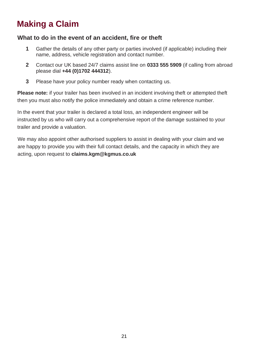# **Making a Claim**

#### **What to do in the event of an accident, fire or theft**

- **1** Gather the details of any other party or parties involved (if applicable) including their name, address, vehicle registration and contact number.
- **2** Contact our UK based 24/7 claims assist line on **0333 555 5909** (if calling from abroad please dial **+44 (0)1702 444312**).
- **3** Please have your policy number ready when contacting us.

**Please note:** if your trailer has been involved in an incident involving theft or attempted theft then you must also notify the police immediately and obtain a crime reference number.

In the event that your trailer is declared a total loss, an independent engineer will be instructed by us who will carry out a comprehensive report of the damage sustained to your trailer and provide a valuation.

We may also appoint other authorised suppliers to assist in dealing with your claim and we are happy to provide you with their full contact details, and the capacity in which they are acting, upon request to **[claims.kgm@kgmus.co.uk](mailto:claims.kgm@kgmus.co.uk)**